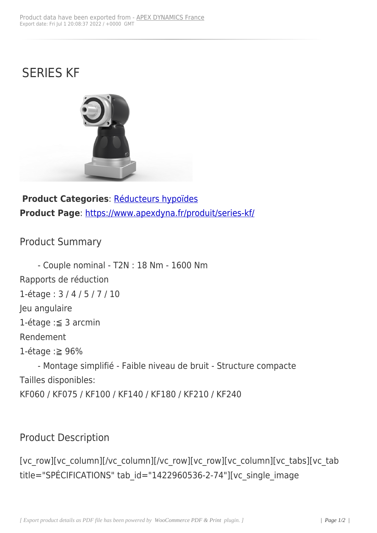## SERIES KF



**Product Categories**: Réducteurs hypoïdes **Product Page**: https://www.apexdyna.fr/produit/series-kf/

## Product Sum[mary](https://www.apexdyna.fr/produit/series-kf/)

- Couple nominal - T2N : 18 Nm - 1600 Nm Rapports de réduction 1-étage : 3 / 4 / 5 / 7 / 10 Jeu angulaire 1-étage :≦ 3 arcmin Rendement 1-étage :≧ 96% - Montage simplifié - Faible niveau de bruit - Structure compacte Tailles disponibles: KF060 / KF075 / KF100 / KF140 / KF180 / KF210 / KF240

## Product Description

[vc\_row][vc\_column][/vc\_column][/vc\_row][vc\_row][vc\_column][vc\_tabs][vc\_tab title="SPÉCIFICATIONS" tab\_id="1422960536-2-74"][vc\_single\_image